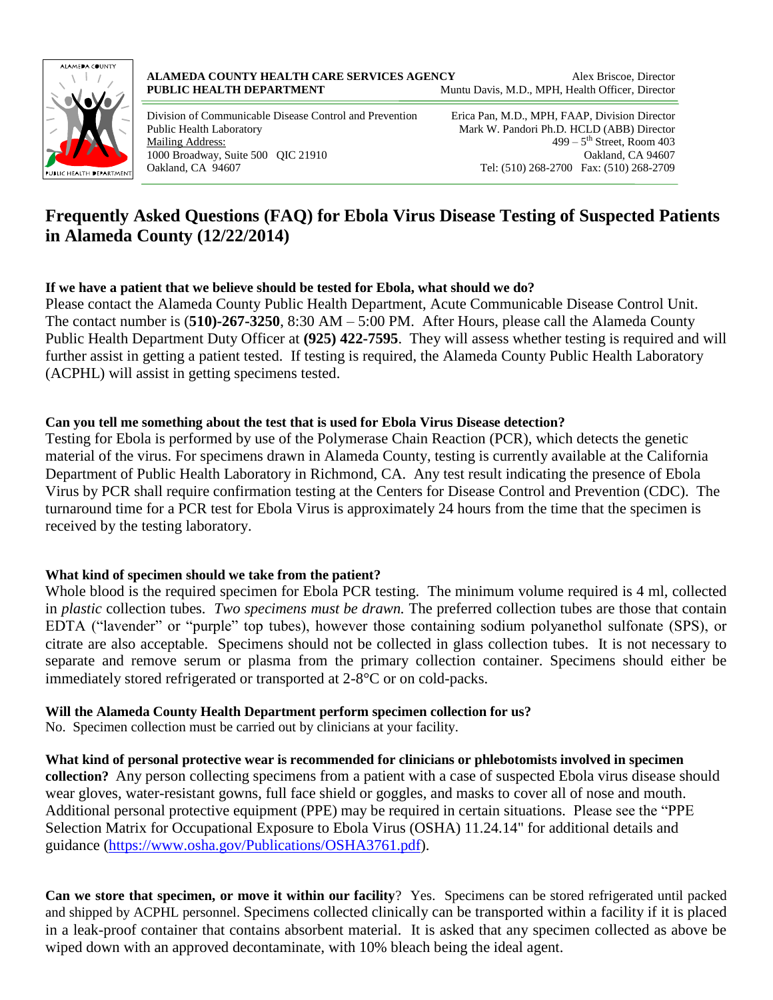

Division of Communicable Disease Control and Prevention Erica Pan, M.D., MPH, FAAP, Division Director Public Health Laboratory Mark W. Pandori Ph.D. HCLD (ABB) Director Mailing Address: 1000 Broadway, Suite 500 QIC 21910 Oakland, CA 94607 Oakland, CA 94607 Tel: (510) 268-2700 Fax: (510) 268-2709

 $499 - 5$ <sup>th</sup> Street, Room 403

## **Frequently Asked Questions (FAQ) for Ebola Virus Disease Testing of Suspected Patients in Alameda County (12/22/2014)**

## **If we have a patient that we believe should be tested for Ebola, what should we do?**

Please contact the Alameda County Public Health Department, Acute Communicable Disease Control Unit. The contact number is (**510)-267-3250**, 8:30 AM – 5:00 PM. After Hours, please call the Alameda County Public Health Department Duty Officer at **(925) 422-7595**. They will assess whether testing is required and will further assist in getting a patient tested. If testing is required, the Alameda County Public Health Laboratory (ACPHL) will assist in getting specimens tested.

## **Can you tell me something about the test that is used for Ebola Virus Disease detection?**

Testing for Ebola is performed by use of the Polymerase Chain Reaction (PCR), which detects the genetic material of the virus. For specimens drawn in Alameda County, testing is currently available at the California Department of Public Health Laboratory in Richmond, CA. Any test result indicating the presence of Ebola Virus by PCR shall require confirmation testing at the Centers for Disease Control and Prevention (CDC). The turnaround time for a PCR test for Ebola Virus is approximately 24 hours from the time that the specimen is received by the testing laboratory.

## **What kind of specimen should we take from the patient?**

Whole blood is the required specimen for Ebola PCR testing. The minimum volume required is 4 ml, collected in *plastic* collection tubes. *Two specimens must be drawn.* The preferred collection tubes are those that contain EDTA ("lavender" or "purple" top tubes), however those containing sodium polyanethol sulfonate (SPS), or citrate are also acceptable. Specimens should not be collected in glass collection tubes. It is not necessary to separate and remove serum or plasma from the primary collection container. Specimens should either be immediately stored refrigerated or transported at 2-8°C or on cold-packs.

## **Will the Alameda County Health Department perform specimen collection for us?**

No. Specimen collection must be carried out by clinicians at your facility.

**What kind of personal protective wear is recommended for clinicians or phlebotomists involved in specimen collection?** Any person collecting specimens from a patient with a case of suspected Ebola virus disease should wear gloves, water-resistant gowns, full face shield or goggles, and masks to cover all of nose and mouth. Additional personal protective equipment (PPE) may be required in certain situations. Please see the "PPE Selection Matrix for Occupational Exposure to Ebola Virus (OSHA) 11.24.14" for additional details and guidance [\(https://www.osha.gov/Publications/OSHA3761.pdf\)](https://www.osha.gov/Publications/OSHA3761.pdf).

**Can we store that specimen, or move it within our facility**? Yes. Specimens can be stored refrigerated until packed and shipped by ACPHL personnel. Specimens collected clinically can be transported within a facility if it is placed in a leak-proof container that contains absorbent material. It is asked that any specimen collected as above be wiped down with an approved decontaminate, with 10% bleach being the ideal agent.